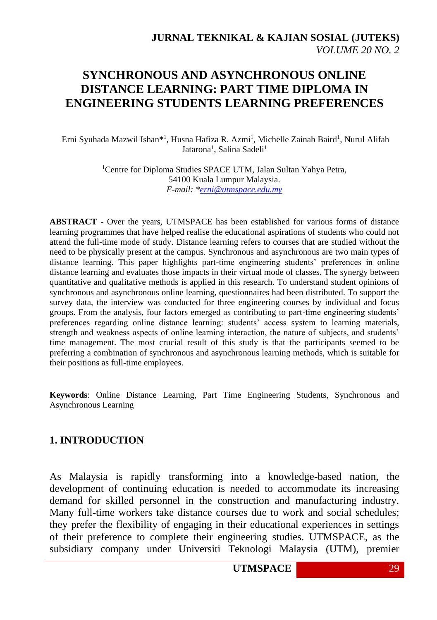# **SYNCHRONOUS AND ASYNCHRONOUS ONLINE DISTANCE LEARNING: PART TIME DIPLOMA IN ENGINEERING STUDENTS LEARNING PREFERENCES**

Erni Syuhada Mazwil Ishan\*<sup>1</sup>, Husna Hafiza R. Azmi<sup>1</sup>, Michelle Zainab Baird<sup>1</sup>, Nurul Alifah Jatarona<sup>1</sup>, Salina Sadeli<sup>1</sup>

> <sup>1</sup>Centre for Diploma Studies SPACE UTM, Jalan Sultan Yahya Petra, 54100 Kuala Lumpur Malaysia. *E-mail: [\\*erni@utmspace.edu.my](mailto:erni@utmspace.edu.my)*

**ABSTRACT** - Over the years, UTMSPACE has been established for various forms of distance learning programmes that have helped realise the educational aspirations of students who could not attend the full-time mode of study. Distance learning refers to courses that are studied without the need to be physically present at the campus. Synchronous and asynchronous are two main types of distance learning. This paper highlights part-time engineering students' preferences in online distance learning and evaluates those impacts in their virtual mode of classes. The synergy between quantitative and qualitative methods is applied in this research. To understand student opinions of synchronous and asynchronous online learning, questionnaires had been distributed. To support the survey data, the interview was conducted for three engineering courses by individual and focus groups. From the analysis, four factors emerged as contributing to part-time engineering students' preferences regarding online distance learning: students' access system to learning materials, strength and weakness aspects of online learning interaction, the nature of subjects, and students' time management. The most crucial result of this study is that the participants seemed to be preferring a combination of synchronous and asynchronous learning methods, which is suitable for their positions as full-time employees.

**Keywords**: Online Distance Learning, Part Time Engineering Students, Synchronous and Asynchronous Learning

#### **1. INTRODUCTION**

As Malaysia is rapidly transforming into a knowledge-based nation, the development of continuing education is needed to accommodate its increasing demand for skilled personnel in the construction and manufacturing industry. Many full-time workers take distance courses due to work and social schedules; they prefer the flexibility of engaging in their educational experiences in settings of their preference to complete their engineering studies. UTMSPACE, as the subsidiary company under Universiti Teknologi Malaysia (UTM), premier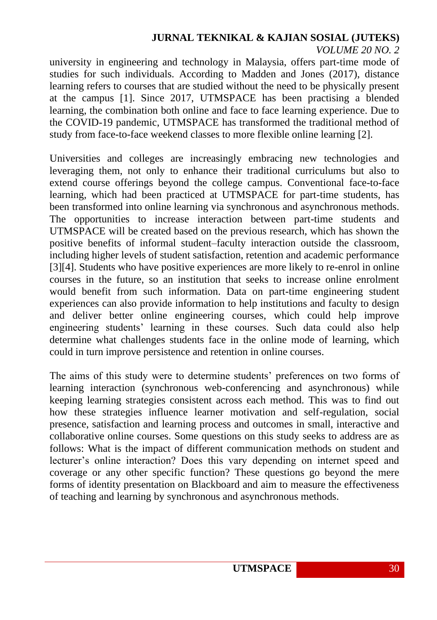university in engineering and technology in Malaysia, offers part-time mode of studies for such individuals. According to Madden and Jones (2017), distance learning refers to courses that are studied without the need to be physically present at the campus [1]. Since 2017, UTMSPACE has been practising a blended learning, the combination both online and face to face learning experience. Due to the COVID-19 pandemic, UTMSPACE has transformed the traditional method of study from face-to-face weekend classes to more flexible online learning [2].

Universities and colleges are increasingly embracing new technologies and leveraging them, not only to enhance their traditional curriculums but also to extend course offerings beyond the college campus. Conventional face-to-face learning, which had been practiced at UTMSPACE for part-time students, has been transformed into online learning via synchronous and asynchronous methods. The opportunities to increase interaction between part-time students and UTMSPACE will be created based on the previous research, which has shown the positive benefits of informal student–faculty interaction outside the classroom, including higher levels of student satisfaction, retention and academic performance [3][4]. Students who have positive experiences are more likely to re-enrol in online courses in the future, so an institution that seeks to increase online enrolment would benefit from such information. Data on part-time engineering student experiences can also provide information to help institutions and faculty to design and deliver better online engineering courses, which could help improve engineering students' learning in these courses. Such data could also help determine what challenges students face in the online mode of learning, which could in turn improve persistence and retention in online courses.

The aims of this study were to determine students' preferences on two forms of learning interaction (synchronous web-conferencing and asynchronous) while keeping learning strategies consistent across each method. This was to find out how these strategies influence learner motivation and self-regulation, social presence, satisfaction and learning process and outcomes in small, interactive and collaborative online courses. Some questions on this study seeks to address are as follows: What is the impact of different communication methods on student and lecturer's online interaction? Does this vary depending on internet speed and coverage or any other specific function? These questions go beyond the mere forms of identity presentation on Blackboard and aim to measure the effectiveness of teaching and learning by synchronous and asynchronous methods.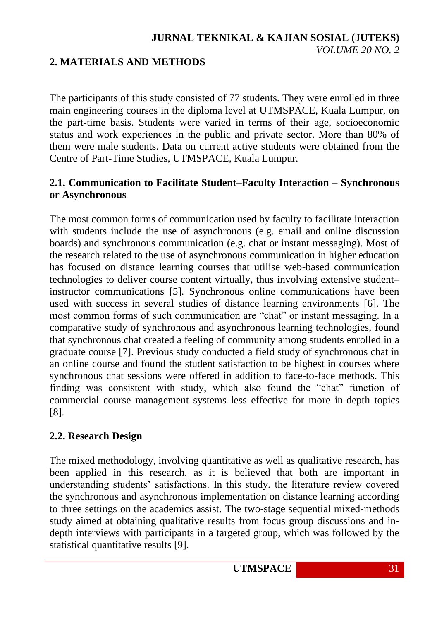# **2. MATERIALS AND METHODS**

The participants of this study consisted of 77 students. They were enrolled in three main engineering courses in the diploma level at UTMSPACE, Kuala Lumpur, on the part-time basis. Students were varied in terms of their age, socioeconomic status and work experiences in the public and private sector. More than 80% of them were male students. Data on current active students were obtained from the Centre of Part-Time Studies, UTMSPACE, Kuala Lumpur.

# **2.1. Communication to Facilitate Student–Faculty Interaction – Synchronous or Asynchronous**

The most common forms of communication used by faculty to facilitate interaction with students include the use of asynchronous (e.g. email and online discussion boards) and synchronous communication (e.g. chat or instant messaging). Most of the research related to the use of asynchronous communication in higher education has focused on distance learning courses that utilise web-based communication technologies to deliver course content virtually, thus involving extensive student– instructor communications [5]. Synchronous online communications have been used with success in several studies of distance learning environments [6]. The most common forms of such communication are "chat" or instant messaging. In a comparative study of synchronous and asynchronous learning technologies, found that synchronous chat created a feeling of community among students enrolled in a graduate course [7]. Previous study conducted a field study of synchronous chat in an online course and found the student satisfaction to be highest in courses where synchronous chat sessions were offered in addition to face-to-face methods. This finding was consistent with study, which also found the "chat" function of commercial course management systems less effective for more in-depth topics [8].

# **2.2. Research Design**

The mixed methodology, involving quantitative as well as qualitative research, has been applied in this research, as it is believed that both are important in understanding students' satisfactions. In this study, the literature review covered the synchronous and asynchronous implementation on distance learning according to three settings on the academics assist. The two-stage sequential mixed-methods study aimed at obtaining qualitative results from focus group discussions and indepth interviews with participants in a targeted group, which was followed by the statistical quantitative results [9].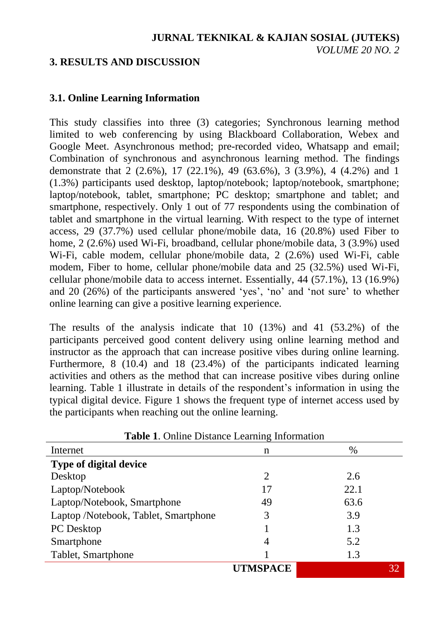## **3. RESULTS AND DISCUSSION**

## **3.1. Online Learning Information**

This study classifies into three (3) categories; Synchronous learning method limited to web conferencing by using Blackboard Collaboration, Webex and Google Meet. Asynchronous method; pre-recorded video, Whatsapp and email; Combination of synchronous and asynchronous learning method. The findings demonstrate that 2 (2.6%), 17 (22.1%), 49 (63.6%), 3 (3.9%), 4 (4.2%) and 1 (1.3%) participants used desktop, laptop/notebook; laptop/notebook, smartphone; laptop/notebook, tablet, smartphone; PC desktop; smartphone and tablet; and smartphone, respectively. Only 1 out of 77 respondents using the combination of tablet and smartphone in the virtual learning. With respect to the type of internet access, 29 (37.7%) used cellular phone/mobile data, 16 (20.8%) used Fiber to home, 2 (2.6%) used Wi-Fi, broadband, cellular phone/mobile data, 3 (3.9%) used Wi-Fi, cable modem, cellular phone/mobile data, 2 (2.6%) used Wi-Fi, cable modem, Fiber to home, cellular phone/mobile data and 25 (32.5%) used Wi-Fi, cellular phone/mobile data to access internet. Essentially, 44 (57.1%), 13 (16.9%) and 20 (26%) of the participants answered 'yes', 'no' and 'not sure' to whether online learning can give a positive learning experience.

The results of the analysis indicate that 10 (13%) and 41 (53.2%) of the participants perceived good content delivery using online learning method and instructor as the approach that can increase positive vibes during online learning. Furthermore, 8 (10.4) and 18 (23.4%) of the participants indicated learning activities and others as the method that can increase positive vibes during online learning. Table 1 illustrate in details of the respondent's information in using the typical digital device. Figure 1 shows the frequent type of internet access used by the participants when reaching out the online learning.

|                                      | ▱               |      |
|--------------------------------------|-----------------|------|
| Internet                             | n               | $\%$ |
| Type of digital device               |                 |      |
| Desktop                              | 2               | 2.6  |
| Laptop/Notebook                      | 17              | 22.1 |
| Laptop/Notebook, Smartphone          | 49              | 63.6 |
| Laptop /Notebook, Tablet, Smartphone | 3               | 3.9  |
| PC Desktop                           |                 | 1.3  |
| Smartphone                           | 4               | 5.2  |
| Tablet, Smartphone                   |                 | 1.3  |
|                                      | <b>UTMSPACE</b> |      |

**Table 1**. Online Distance Learning Information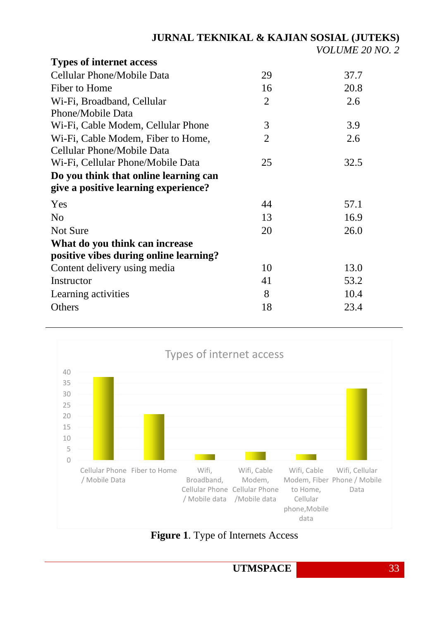| 29             | 37.7 |
|----------------|------|
| 16             | 20.8 |
| $\overline{2}$ | 2.6  |
|                |      |
| 3              | 3.9  |
| $\overline{2}$ | 2.6  |
|                |      |
| 25             | 32.5 |
|                |      |
|                |      |
| 44             | 57.1 |
| 13             | 16.9 |
| 20             | 26.0 |
|                |      |
|                |      |
| 10             | 13.0 |
| 41             | 53.2 |
| 8              | 10.4 |
| 18             | 23.4 |
|                |      |



**Figure 1**. Type of Internets Access

UTMSPACE 33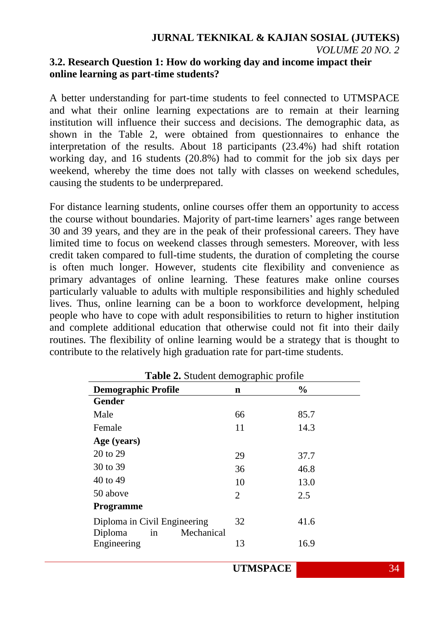## **3.2. Research Question 1: How do working day and income impact their online learning as part-time students?**

A better understanding for part-time students to feel connected to UTMSPACE and what their online learning expectations are to remain at their learning institution will influence their success and decisions. The demographic data, as shown in the Table 2, were obtained from questionnaires to enhance the interpretation of the results. About 18 participants (23.4%) had shift rotation working day, and 16 students (20.8%) had to commit for the job six days per weekend, whereby the time does not tally with classes on weekend schedules, causing the students to be underprepared.

For distance learning students, online courses offer them an opportunity to access the course without boundaries. Majority of part-time learners' ages range between 30 and 39 years, and they are in the peak of their professional careers. They have limited time to focus on weekend classes through semesters. Moreover, with less credit taken compared to full-time students, the duration of completing the course is often much longer. However, students cite flexibility and convenience as primary advantages of online learning. These features make online courses particularly valuable to adults with multiple responsibilities and highly scheduled lives. Thus, online learning can be a boon to workforce development, helping people who have to cope with adult responsibilities to return to higher institution and complete additional education that otherwise could not fit into their daily routines. The flexibility of online learning would be a strategy that is thought to contribute to the relatively high graduation rate for part-time students.

|                                                             | Table 2. Student demographic profile |               |  |  |  |  |
|-------------------------------------------------------------|--------------------------------------|---------------|--|--|--|--|
| <b>Demographic Profile</b>                                  | n                                    | $\frac{0}{0}$ |  |  |  |  |
| <b>Gender</b>                                               |                                      |               |  |  |  |  |
| Male                                                        | 66                                   | 85.7          |  |  |  |  |
| Female                                                      | 11                                   | 14.3          |  |  |  |  |
| Age (years)                                                 |                                      |               |  |  |  |  |
| 20 to 29                                                    | 29                                   | 37.7          |  |  |  |  |
| 30 to 39                                                    | 36                                   | 46.8          |  |  |  |  |
| 40 to 49                                                    | 10                                   | 13.0          |  |  |  |  |
| 50 above                                                    | 2                                    | 2.5           |  |  |  |  |
| <b>Programme</b>                                            |                                      |               |  |  |  |  |
| Diploma in Civil Engineering<br>Mechanical<br>Diploma<br>in | 32                                   | 41.6          |  |  |  |  |
| Engineering                                                 | 13                                   | 16.9          |  |  |  |  |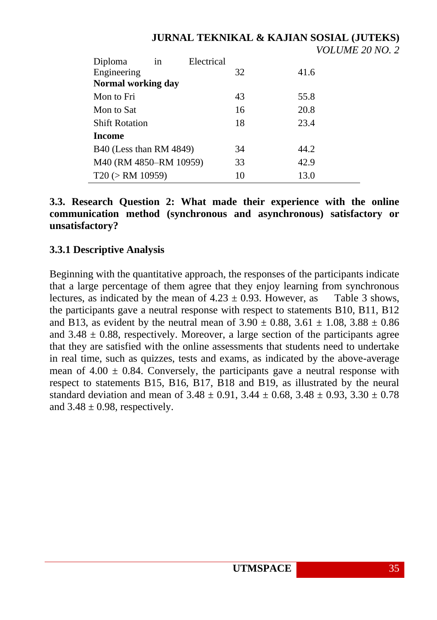|                         |    |            |    | <i>VOLUME 20 NO.</i> |  |
|-------------------------|----|------------|----|----------------------|--|
| Diploma                 | in | Electrical |    |                      |  |
| Engineering             |    |            | 32 | 41.6                 |  |
| Normal working day      |    |            |    |                      |  |
| Mon to Fri              |    |            | 43 | 55.8                 |  |
| Mon to Sat              |    |            | 16 | 20.8                 |  |
| <b>Shift Rotation</b>   |    |            | 18 | 23.4                 |  |
| Income                  |    |            |    |                      |  |
| B40 (Less than RM 4849) |    |            | 34 | 44.2                 |  |
| M40 (RM 4850-RM 10959)  |    |            | 33 | 42.9                 |  |
| T20 (> RM 10959)        |    |            | 10 | 13.0                 |  |

**3.3. Research Question 2: What made their experience with the online communication method (synchronous and asynchronous) satisfactory or unsatisfactory?**

# **3.3.1 Descriptive Analysis**

Beginning with the quantitative approach, the responses of the participants indicate that a large percentage of them agree that they enjoy learning from synchronous lectures, as indicated by the mean of  $4.23 \pm 0.93$ . However, as Table 3 shows, the participants gave a neutral response with respect to statements B10, B11, B12 and B13, as evident by the neutral mean of  $3.90 \pm 0.88$ ,  $3.61 \pm 1.08$ ,  $3.88 \pm 0.86$ and  $3.48 \pm 0.88$ , respectively. Moreover, a large section of the participants agree that they are satisfied with the online assessments that students need to undertake in real time, such as quizzes, tests and exams, as indicated by the above-average mean of  $4.00 \pm 0.84$ . Conversely, the participants gave a neutral response with respect to statements B15, B16, B17, B18 and B19, as illustrated by the neural standard deviation and mean of  $3.48 \pm 0.91$ ,  $3.44 \pm 0.68$ ,  $3.48 \pm 0.93$ ,  $3.30 \pm 0.78$ and  $3.48 \pm 0.98$ , respectively.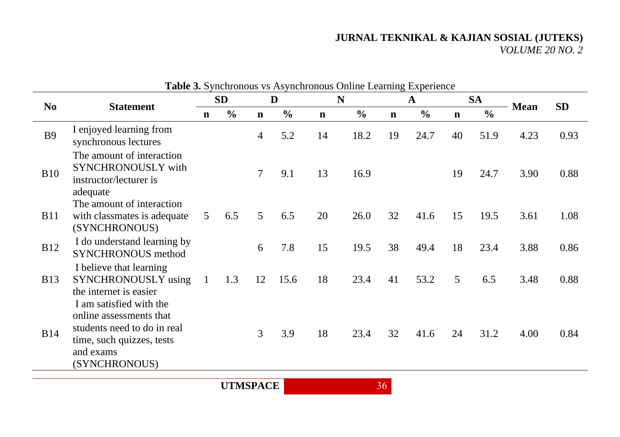| <b>Table 3.</b> Synchronous vs Asynchronous Online Learning Experience |                                                                                                                   |                |                |                |               |             |               |             |               |             |               |             |           |
|------------------------------------------------------------------------|-------------------------------------------------------------------------------------------------------------------|----------------|----------------|----------------|---------------|-------------|---------------|-------------|---------------|-------------|---------------|-------------|-----------|
|                                                                        | N <sub>0</sub><br><b>Statement</b>                                                                                |                | <b>SD</b><br>D |                |               | N           |               |             | $\mathbf{A}$  |             | <b>SA</b>     |             | <b>SD</b> |
|                                                                        |                                                                                                                   | $\mathbf n$    | $\frac{0}{0}$  | $\mathbf n$    | $\frac{0}{0}$ | $\mathbf n$ | $\frac{6}{6}$ | $\mathbf n$ | $\frac{0}{0}$ | $\mathbf n$ | $\frac{0}{0}$ | <b>Mean</b> |           |
| <b>B9</b>                                                              | I enjoyed learning from<br>synchronous lectures                                                                   |                |                | 4              | 5.2           | 14          | 18.2          | 19          | 24.7          | 40          | 51.9          | 4.23        | 0.93      |
| <b>B10</b>                                                             | The amount of interaction<br>SYNCHRONOUSLY with<br>instructor/lecturer is<br>adequate                             |                |                | $\overline{7}$ | 9.1           | 13          | 16.9          |             |               | 19          | 24.7          | 3.90        | 0.88      |
| <b>B11</b>                                                             | The amount of interaction<br>with classmates is adequate<br>(SYNCHRONOUS)                                         | 5 <sup>5</sup> | 6.5            | 5              | 6.5           | 20          | 26.0          | 32          | 41.6          | 15          | 19.5          | 3.61        | 1.08      |
| <b>B12</b>                                                             | I do understand learning by<br><b>SYNCHRONOUS</b> method                                                          |                |                | 6              | 7.8           | 15          | 19.5          | 38          | 49.4          | 18          | 23.4          | 3.88        | 0.86      |
| <b>B</b> 13                                                            | I believe that learning<br>SYNCHRONOUSLY using<br>the internet is easier<br>I am satisfied with the               | $\mathbf{1}$   | 1.3            | 12             | 15.6          | 18          | 23.4          | 41          | 53.2          | 5           | 6.5           | 3.48        | 0.88      |
| <b>B14</b>                                                             | online assessments that<br>students need to do in real<br>time, such quizzes, tests<br>and exams<br>(SYNCHRONOUS) |                |                | 3              | 3.9           | 18          | 23.4          | 32          | 41.6          | 24          | 31.2          | 4.00        | 0.84      |

**Table 3.** Synchronous vs Asynchronous Online Learning Experience

**UTMSPACE** 36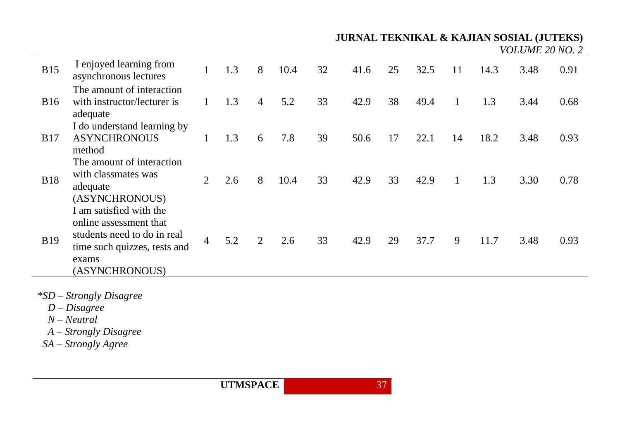*VOLUME 20 NO. 2*

| <b>B15</b> | I enjoyed learning from<br>asynchronous lectures                                                                                            |                | 1.3 | 8 | 10.4 | 32 | 41.6 | 25 | 32.5 | 11 | 14.3 | 3.48 | 0.91 |
|------------|---------------------------------------------------------------------------------------------------------------------------------------------|----------------|-----|---|------|----|------|----|------|----|------|------|------|
| <b>B16</b> | The amount of interaction<br>with instructor/lecturer is<br>adequate                                                                        |                | 1.3 | 4 | 5.2  | 33 | 42.9 | 38 | 49.4 |    | 1.3  | 3.44 | 0.68 |
| <b>B17</b> | I do understand learning by<br><b>ASYNCHRONOUS</b><br>method                                                                                |                | 1.3 | 6 | 7.8  | 39 | 50.6 | 17 | 22.1 | 14 | 18.2 | 3.48 | 0.93 |
| <b>B18</b> | The amount of interaction<br>with classmates was<br>adequate<br>(ASYNCHRONOUS)                                                              | 2              | 2.6 | 8 | 10.4 | 33 | 42.9 | 33 | 42.9 |    | 1.3  | 3.30 | 0.78 |
| <b>B19</b> | I am satisfied with the<br>online assessment that<br>students need to do in real<br>time such quizzes, tests and<br>exams<br>(ASYNCHRONOUS) | $\overline{4}$ | 5.2 | 2 | 2.6  | 33 | 42.9 | 29 | 37.7 | 9  | 11.7 | 3.48 | 0.93 |

*\*SD – Strongly Disagree*

 *D – Disagree* 

 *N – Neutral*

- *A – Strongly Disagree*
- *SA – Strongly Agree*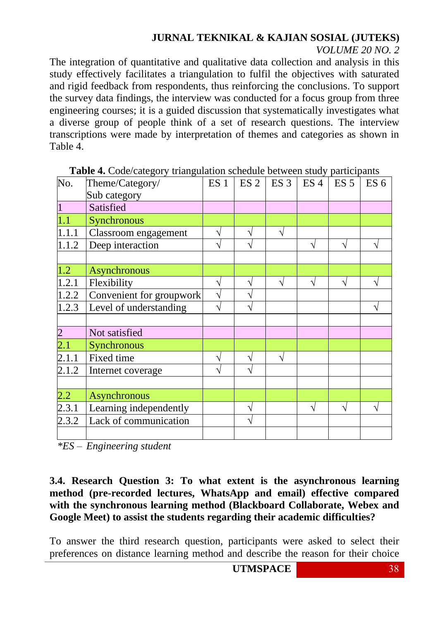#### *VOLUME 20 NO. 2*

The integration of quantitative and qualitative data collection and analysis in this study effectively facilitates a triangulation to fulfil the objectives with saturated and rigid feedback from respondents, thus reinforcing the conclusions. To support the survey data findings, the interview was conducted for a focus group from three engineering courses; it is a guided discussion that systematically investigates what a diverse group of people think of a set of research questions. The interview transcriptions were made by interpretation of themes and categories as shown in Table 4.

| No.                | . Code calegory unangunation sene<br>Theme/Category/ | ES <sub>1</sub>    | $ES$ 2 ES 3 ES 4 | $\ldots$ con state, participants | ES <sub>5</sub> | ES <sub>6</sub> |
|--------------------|------------------------------------------------------|--------------------|------------------|----------------------------------|-----------------|-----------------|
|                    | Sub category                                         |                    |                  |                                  |                 |                 |
|                    | Satisfied                                            |                    |                  |                                  |                 |                 |
| 1.1                | Synchronous                                          |                    |                  |                                  |                 |                 |
| 1.1.1              | Classroom engagement                                 |                    | V                |                                  |                 |                 |
| 1.1.2              | Deep interaction                                     | V                  |                  | V                                | V               |                 |
|                    |                                                      |                    |                  |                                  |                 |                 |
| 1.2                | Asynchronous                                         |                    |                  |                                  |                 |                 |
| 1.2.1              | Flexibility                                          |                    | ٦                |                                  |                 |                 |
| 1.2.2              | Convenient for groupwork                             | $\mathbf{\hat{v}}$ |                  |                                  |                 |                 |
| 1.2.3              | Level of understanding                               |                    |                  |                                  |                 |                 |
|                    |                                                      |                    |                  |                                  |                 |                 |
| $\overline{2}$     | Not satisfied                                        |                    |                  |                                  |                 |                 |
| $\overline{2.1}$   | Synchronous                                          |                    |                  |                                  |                 |                 |
| $\overline{2.1.1}$ | Fixed time                                           |                    |                  |                                  |                 |                 |
| 2.1.2              | Internet coverage                                    |                    |                  |                                  |                 |                 |
|                    |                                                      |                    |                  |                                  |                 |                 |
| $2.2^{\circ}$      | <b>Asynchronous</b>                                  |                    |                  |                                  |                 |                 |
| 2.3.1              | Learning independently                               |                    |                  |                                  |                 |                 |
| 2.3.2              | Lack of communication                                |                    |                  |                                  |                 |                 |
|                    |                                                      |                    |                  |                                  |                 |                 |

|  | Table 4. Code/category triangulation schedule between study participants |  |
|--|--------------------------------------------------------------------------|--|
|  |                                                                          |  |

*\*ES – Engineering student*

## **3.4. Research Question 3: To what extent is the asynchronous learning method (pre-recorded lectures, WhatsApp and email) effective compared with the synchronous learning method (Blackboard Collaborate, Webex and Google Meet) to assist the students regarding their academic difficulties?**

To answer the third research question, participants were asked to select their preferences on distance learning method and describe the reason for their choice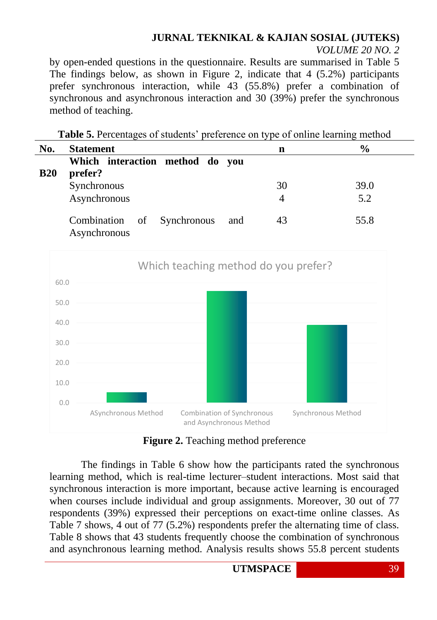*VOLUME 20 NO. 2*

43 55.8

by open-ended questions in the questionnaire. Results are summarised in Table 5 The findings below, as shown in Figure 2, indicate that 4 (5.2%) participants prefer synchronous interaction, while 43 (55.8%) prefer a combination of synchronous and asynchronous interaction and 30 (39%) prefer the synchronous method of teaching.

**Table 5.** Percentages of students' preference on type of online learning method **No. Statement n % B20 Which interaction method do you prefer?**  Synchronous 30 39.0

Asynchronous 4 5.2

Combination of Synchronous and

Asynchronous



**Figure 2.** Teaching method preference

The findings in Table 6 show how the participants rated the synchronous learning method, which is real-time lecturer–student interactions. Most said that synchronous interaction is more important, because active learning is encouraged when courses include individual and group assignments. Moreover, 30 out of 77 respondents (39%) expressed their perceptions on exact-time online classes. As Table 7 shows, 4 out of 77 (5.2%) respondents prefer the alternating time of class. Table 8 shows that 43 students frequently choose the combination of synchronous and asynchronous learning method. Analysis results shows 55.8 percent students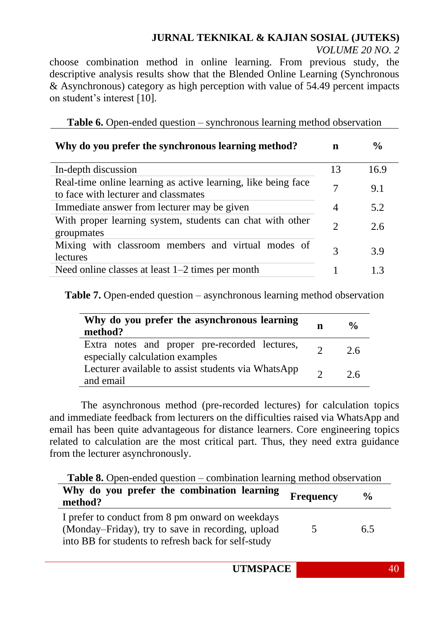*VOLUME 20 NO. 2*

choose combination method in online learning. From previous study, the descriptive analysis results show that the Blended Online Learning (Synchronous & Asynchronous) category as high perception with value of 54.49 percent impacts on student's interest [10].

**Table 6.** Open-ended question – synchronous learning method observation

| Why do you prefer the synchronous learning method?                                                    | n                           | $\frac{6}{9}$ |
|-------------------------------------------------------------------------------------------------------|-----------------------------|---------------|
| In-depth discussion                                                                                   | 13                          | 16.9          |
| Real-time online learning as active learning, like being face<br>to face with lecturer and classmates | 7                           | 9.1           |
| Immediate answer from lecturer may be given                                                           | 4                           | 5.2           |
| With proper learning system, students can chat with other<br>groupmates                               | $\mathcal{D}_{\mathcal{L}}$ | 2.6           |
| Mixing with classroom members and virtual modes of<br>lectures                                        | 3                           | 3.9           |
| Need online classes at least $1-2$ times per month                                                    |                             | 13            |

**Table 7.** Open-ended question – asynchronous learning method observation

| Why do you prefer the asynchronous learning<br>method?                           | n        | $\frac{0}{\alpha}$ |
|----------------------------------------------------------------------------------|----------|--------------------|
| Extra notes and proper pre-recorded lectures,<br>especially calculation examples | $\gamma$ | 2.6                |
| Lecturer available to assist students via WhatsApp<br>and email                  | $\gamma$ | 26                 |

The asynchronous method (pre-recorded lectures) for calculation topics and immediate feedback from lecturers on the difficulties raised via WhatsApp and email has been quite advantageous for distance learners. Core engineering topics related to calculation are the most critical part. Thus, they need extra guidance from the lecturer asynchronously.

**Table 8.** Open-ended question – combination learning method observation

| Why do you prefer the combination learning<br>method?                                                 | <b>Frequency</b> | $\frac{0}{0}$ |
|-------------------------------------------------------------------------------------------------------|------------------|---------------|
| I prefer to conduct from 8 pm onward on weekdays<br>(Monday–Friday), try to save in recording, upload | $\mathcal{L}$    | 6.5           |
| into BB for students to refresh back for self-study                                                   |                  |               |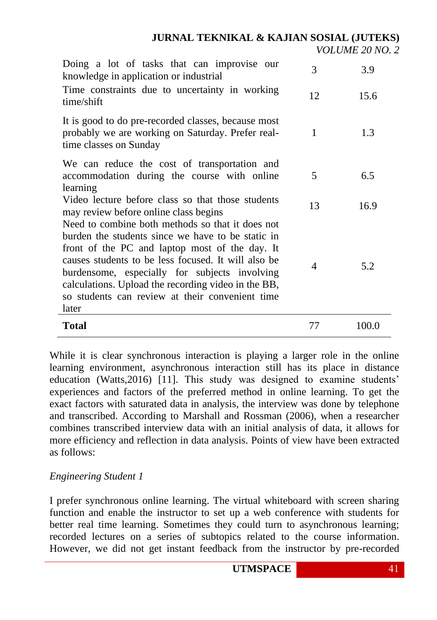*VOLUME 20 NO. 2*

| Doing a lot of tasks that can improvise our<br>knowledge in application or industrial                                                                                                                                                                                                                                                                                              | 3  | 3.9   |
|------------------------------------------------------------------------------------------------------------------------------------------------------------------------------------------------------------------------------------------------------------------------------------------------------------------------------------------------------------------------------------|----|-------|
| Time constraints due to uncertainty in working<br>time/shift                                                                                                                                                                                                                                                                                                                       | 12 | 15.6  |
| It is good to do pre-recorded classes, because most<br>probably we are working on Saturday. Prefer real-<br>time classes on Sunday                                                                                                                                                                                                                                                 | 1  | 1.3   |
| We can reduce the cost of transportation and<br>accommodation during the course with online<br>learning                                                                                                                                                                                                                                                                            | 5  | 6.5   |
| Video lecture before class so that those students<br>may review before online class begins                                                                                                                                                                                                                                                                                         | 13 | 16.9  |
| Need to combine both methods so that it does not<br>burden the students since we have to be static in<br>front of the PC and laptop most of the day. It<br>causes students to be less focused. It will also be<br>burdensome, especially for subjects involving<br>calculations. Upload the recording video in the BB,<br>so students can review at their convenient time<br>later | 4  | 5.2   |
| <b>Total</b>                                                                                                                                                                                                                                                                                                                                                                       | 77 | 100.0 |

While it is clear synchronous interaction is playing a larger role in the online learning environment, asynchronous interaction still has its place in distance education (Watts,2016) [11]. This study was designed to examine students' experiences and factors of the preferred method in online learning. To get the exact factors with saturated data in analysis, the interview was done by telephone and transcribed. According to Marshall and Rossman (2006), when a researcher combines transcribed interview data with an initial analysis of data, it allows for more efficiency and reflection in data analysis. Points of view have been extracted as follows:

#### *Engineering Student 1*

I prefer synchronous online learning. The virtual whiteboard with screen sharing function and enable the instructor to set up a web conference with students for better real time learning. Sometimes they could turn to asynchronous learning; recorded lectures on a series of subtopics related to the course information. However, we did not get instant feedback from the instructor by pre-recorded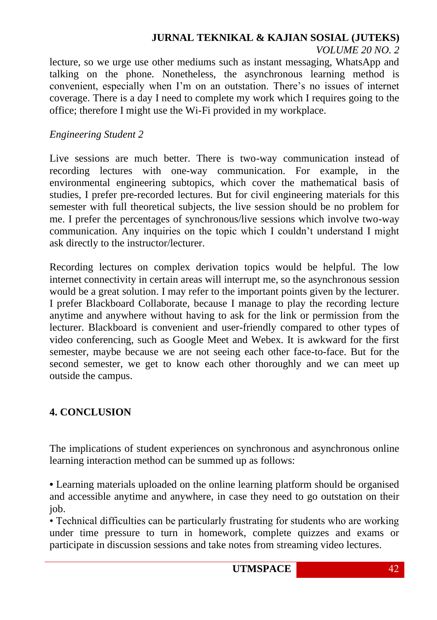*VOLUME 20 NO. 2*

lecture, so we urge use other mediums such as instant messaging, WhatsApp and talking on the phone. Nonetheless, the asynchronous learning method is convenient, especially when I'm on an outstation. There's no issues of internet coverage. There is a day I need to complete my work which I requires going to the office; therefore I might use the Wi-Fi provided in my workplace.

#### *Engineering Student 2*

Live sessions are much better. There is two-way communication instead of recording lectures with one-way communication. For example, in the environmental engineering subtopics, which cover the mathematical basis of studies, I prefer pre-recorded lectures. But for civil engineering materials for this semester with full theoretical subjects, the live session should be no problem for me. I prefer the percentages of synchronous/live sessions which involve two-way communication. Any inquiries on the topic which I couldn't understand I might ask directly to the instructor/lecturer.

Recording lectures on complex derivation topics would be helpful. The low internet connectivity in certain areas will interrupt me, so the asynchronous session would be a great solution. I may refer to the important points given by the lecturer. I prefer Blackboard Collaborate, because I manage to play the recording lecture anytime and anywhere without having to ask for the link or permission from the lecturer. Blackboard is convenient and user-friendly compared to other types of video conferencing, such as Google Meet and Webex. It is awkward for the first semester, maybe because we are not seeing each other face-to-face. But for the second semester, we get to know each other thoroughly and we can meet up outside the campus.

## **4. CONCLUSION**

The implications of student experiences on synchronous and asynchronous online learning interaction method can be summed up as follows:

**•** Learning materials uploaded on the online learning platform should be organised and accessible anytime and anywhere, in case they need to go outstation on their job.

• Technical difficulties can be particularly frustrating for students who are working under time pressure to turn in homework, complete quizzes and exams or participate in discussion sessions and take notes from streaming video lectures.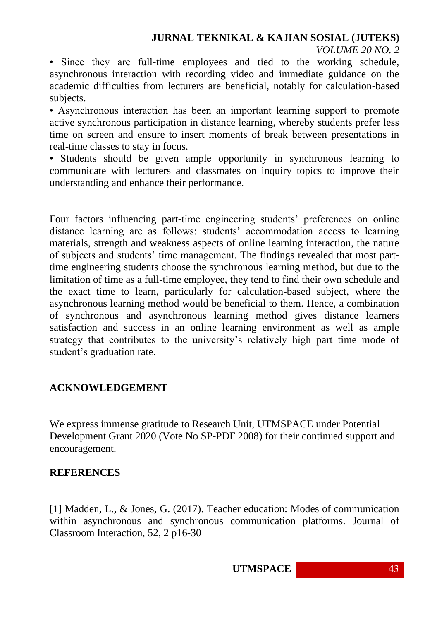• Since they are full-time employees and tied to the working schedule, asynchronous interaction with recording video and immediate guidance on the academic difficulties from lecturers are beneficial, notably for calculation-based subjects.

• Asynchronous interaction has been an important learning support to promote active synchronous participation in distance learning, whereby students prefer less time on screen and ensure to insert moments of break between presentations in real-time classes to stay in focus.

• Students should be given ample opportunity in synchronous learning to communicate with lecturers and classmates on inquiry topics to improve their understanding and enhance their performance.

Four factors influencing part-time engineering students' preferences on online distance learning are as follows: students' accommodation access to learning materials, strength and weakness aspects of online learning interaction, the nature of subjects and students' time management. The findings revealed that most parttime engineering students choose the synchronous learning method, but due to the limitation of time as a full-time employee, they tend to find their own schedule and the exact time to learn, particularly for calculation-based subject, where the asynchronous learning method would be beneficial to them. Hence, a combination of synchronous and asynchronous learning method gives distance learners satisfaction and success in an online learning environment as well as ample strategy that contributes to the university's relatively high part time mode of student's graduation rate.

# **ACKNOWLEDGEMENT**

We express immense gratitude to Research Unit, UTMSPACE under Potential Development Grant 2020 (Vote No SP-PDF 2008) for their continued support and encouragement.

## **REFERENCES**

[1] Madden, L., & Jones, G. (2017). Teacher education: Modes of communication within asynchronous and synchronous communication platforms. Journal of Classroom Interaction, 52, 2 p16-30